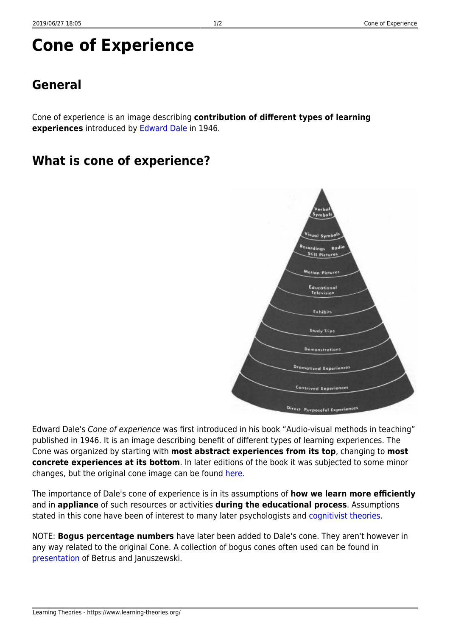# **Cone of Experience**

### **General**

Cone of experience is an image describing **contribution of different types of learning experiences** introduced by [Edward Dale](http://en.wikipedia.org/wiki/Edgar_Dale) in 1946.

#### **What is cone of experience?**



Edward Dale's Cone of experience was first introduced in his book "Audio-visual methods in teaching" published in 1946. It is an image describing benefit of different types of learning experiences. The Cone was organized by starting with **most abstract experiences from its top**, changing to **most concrete experiences at its bottom**. In later editions of the book it was subjected to some minor changes, but the original cone image can be found [here.](http://www.robwaller.org/blog/uploaded_images/realdale-759265.jpg)

The importance of Dale's cone of experience is in its assumptions of **how we learn more efficiently** and in **appliance** of such resources or activities **during the educational process**. Assumptions stated in this cone have been of interest to many later psychologists and [cognitivist theories](https://www.learning-theories.org/doku.php?id=learning_paradigms:cognitivism#learning_theories).

NOTE: **Bogus percentage numbers** have later been added to Dale's cone. They aren't however in any way related to the original Cone. A collection of bogus cones often used can be found in [presentation](http://www2.potsdam.edu/betrusak/AECT2002/dalescone_files/dalescone.html.ppt) of Betrus and Januszewski.